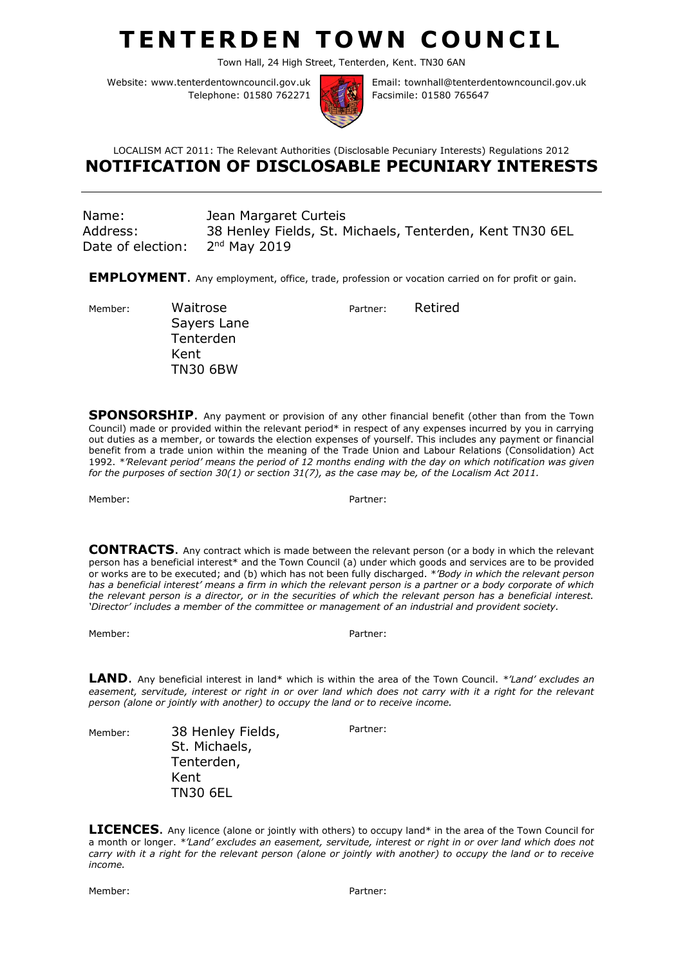## **TENTERDEN TOWN COUNCIL**

Town Hall, 24 High Street, Tenterden, Kent. TN30 6AN

Website: www.tenterdentowncouncil.gov.uk Telephone: 01580 762271



Email: townhall@tenterdentowncouncil.gov.uk Facsimile: 01580 765647

## LOCALISM ACT 2011: The Relevant Authorities (Disclosable Pecuniary Interests) Regulations 2012 **NOTIFICATION OF DISCLOSABLE PECUNIARY INTERESTS**

| Name:             | Jean Margaret Curteis                                    |
|-------------------|----------------------------------------------------------|
| Address:          | 38 Henley Fields, St. Michaels, Tenterden, Kent TN30 6EL |
| Date of election: | $2nd$ May 2019                                           |

**EMPLOYMENT**. Any employment, office, trade, profession or vocation carried on for profit or gain.

Member: Waitrose Sayers Lane Tenterden Kent TN30 6BW

**SPONSORSHIP**. Any payment or provision of any other financial benefit (other than from the Town Council) made or provided within the relevant period\* in respect of any expenses incurred by you in carrying out duties as a member, or towards the election expenses of yourself. This includes any payment or financial benefit from a trade union within the meaning of the Trade Union and Labour Relations (Consolidation) Act 1992. *\*'Relevant period' means the period of 12 months ending with the day on which notification was given for the purposes of section 30(1) or section 31(7), as the case may be, of the Localism Act 2011.*

Member: Partner:

Partner: Retired

**CONTRACTS**. Any contract which is made between the relevant person (or a body in which the relevant person has a beneficial interest\* and the Town Council (a) under which goods and services are to be provided or works are to be executed; and (b) which has not been fully discharged. *\*'Body in which the relevant person has a beneficial interest' means a firm in which the relevant person is a partner or a body corporate of which the relevant person is a director, or in the securities of which the relevant person has a beneficial interest.*  'Director' includes a member of the committee or management of an industrial and provident society.

Member: Partner:

**LAND**. Any beneficial interest in land\* which is within the area of the Town Council. *\*'Land' excludes an easement, servitude, interest or right in or over land which does not carry with it a right for the relevant person (alone or jointly with another) to occupy the land or to receive income.*

Member: 38 Henley Fields, St. Michaels, Tenterden, Kent TN30 6EL

Partner:

**LICENCES**. Any licence (alone or jointly with others) to occupy land\* in the area of the Town Council for a month or longer. *\*'Land' excludes an easement, servitude, interest or right in or over land which does not carry with it a right for the relevant person (alone or jointly with another) to occupy the land or to receive income.*

Member: Partner: